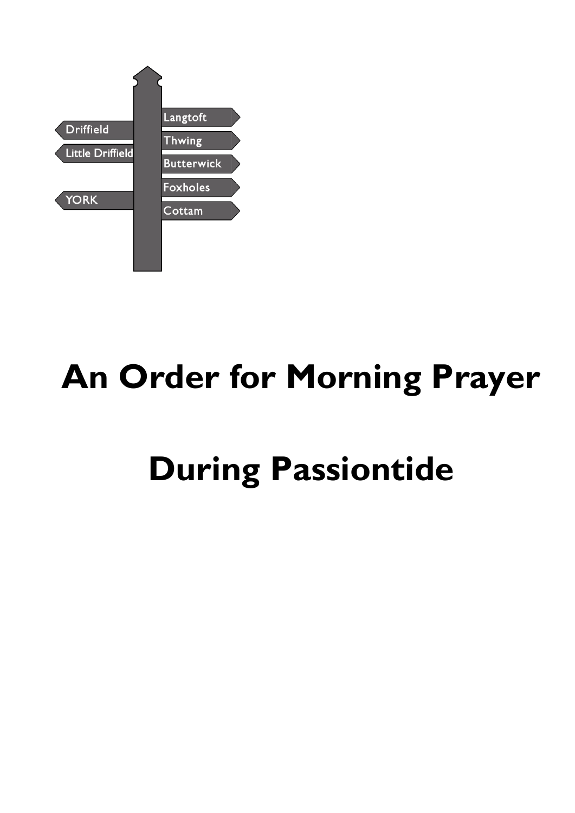

# **An Order for Morning Prayer**

# **During Passiontide**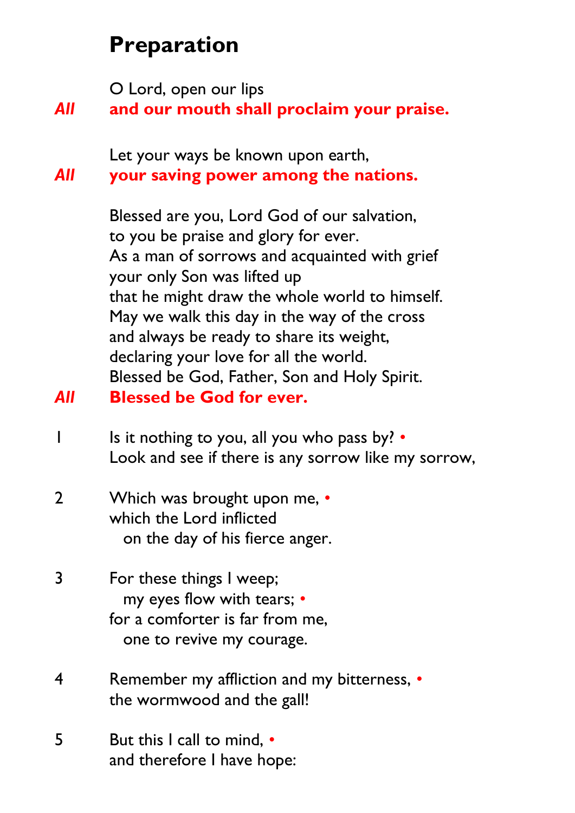# **Preparation**

O Lord, open our lips

### *All* **and our mouth shall proclaim your praise.**

Let your ways be known upon earth,

#### *All* **your saving power among the nations.**

Blessed are you, Lord God of our salvation, to you be praise and glory for ever. As a man of sorrows and acquainted with grief your only Son was lifted up that he might draw the whole world to himself. May we walk this day in the way of the cross and always be ready to share its weight, declaring your love for all the world. Blessed be God, Father, Son and Holy Spirit.

#### *All* **Blessed be God for ever.**

- 1 Is it nothing to you, all you who pass by? *•* Look and see if there is any sorrow like my sorrow,
- 2 Which was brought upon me, *•* which the Lord inflicted on the day of his fierce anger.
- 3 For these things I weep; my eyes flow with tears; *•* for a comforter is far from me, one to revive my courage.
- 4 Remember my affliction and my bitterness, *•* the wormwood and the gall!
- 5 But this I call to mind, *•* and therefore I have hope: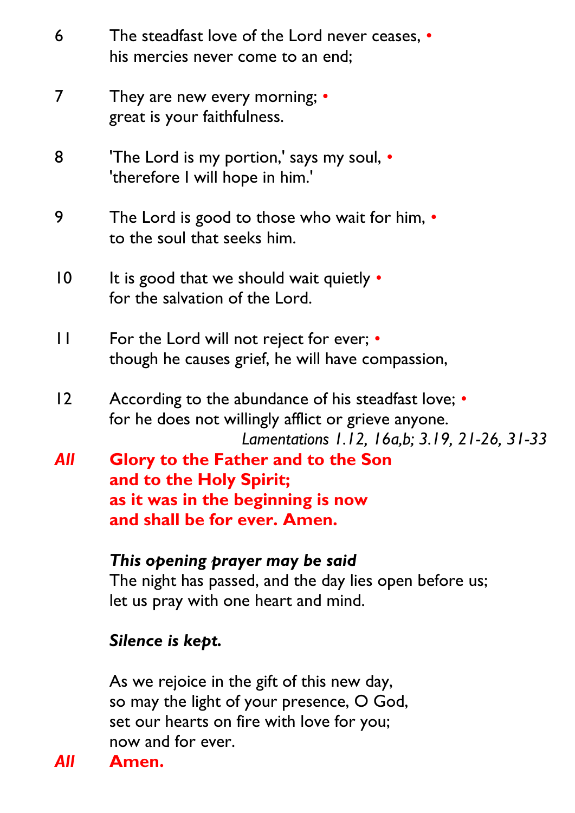| 6               | The steadfast love of the Lord never ceases, •<br>his mercies never come to an end;                                                                        |
|-----------------|------------------------------------------------------------------------------------------------------------------------------------------------------------|
| 7               | They are new every morning; •<br>great is your faithfulness.                                                                                               |
| 8               | <b>The Lord is my portion,' says my soul, •</b><br>'therefore I will hope in him.'                                                                         |
| 9               | The Lord is good to those who wait for him, $\cdot$<br>to the soul that seeks him.                                                                         |
| $\overline{10}$ | It is good that we should wait quietly $\cdot$<br>for the salvation of the Lord.                                                                           |
| $\mathsf{L}$    | For the Lord will not reject for ever; •<br>though he causes grief, he will have compassion,                                                               |
| 12              | According to the abundance of his steadfast love; •<br>for he does not willingly afflict or grieve anyone.<br>Lamentations 1.12, 16a,b; 3.19, 21-26, 31-33 |
| All             | <b>Glory to the Father and to the Son</b><br>and to the Holy Spirit;<br>as it was in the beginning is now<br>and shall be for ever. Amen.                  |
|                 | This opening prayer may be said<br>The night has passed, and the day lies open before us;<br>let us pray with one heart and mind.                          |
|                 | Silence is kept.                                                                                                                                           |

As we rejoice in the gift of this new day, so may the light of your presence, O God, set our hearts on fire with love for you; now and for ever.

*All* **Amen.**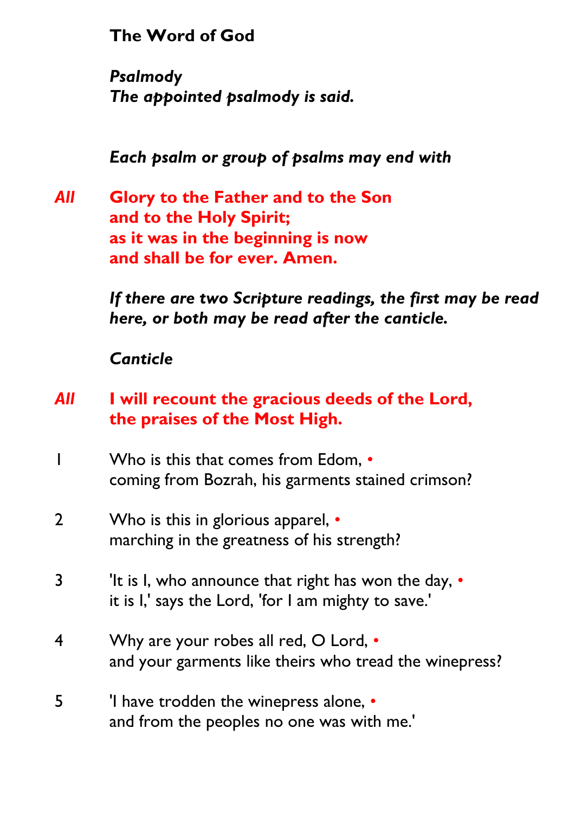**The Word of God**

*Psalmody The appointed psalmody is said.*

*Each psalm or group of psalms may end with*

*All* **Glory to the Father and to the Son and to the Holy Spirit; as it was in the beginning is now and shall be for ever. Amen.**

> *If there are two Scripture readings, the first may be read here, or both may be read after the canticle.*

*Canticle*

#### *All* **I will recount the gracious deeds of the Lord, the praises of the Most High.**

- 1 Who is this that comes from Edom, coming from Bozrah, his garments stained crimson?
- 2 Who is this in glorious apparel, marching in the greatness of his strength?
- 3 It is I, who announce that right has won the day,  $\cdot$ it is I,' says the Lord, 'for I am mighty to save.'
- 4 Why are your robes all red, O Lord, and your garments like theirs who tread the winepress?
- 5 <sup>'</sup>I have trodden the winepress alone,  $\cdot$ and from the peoples no one was with me.'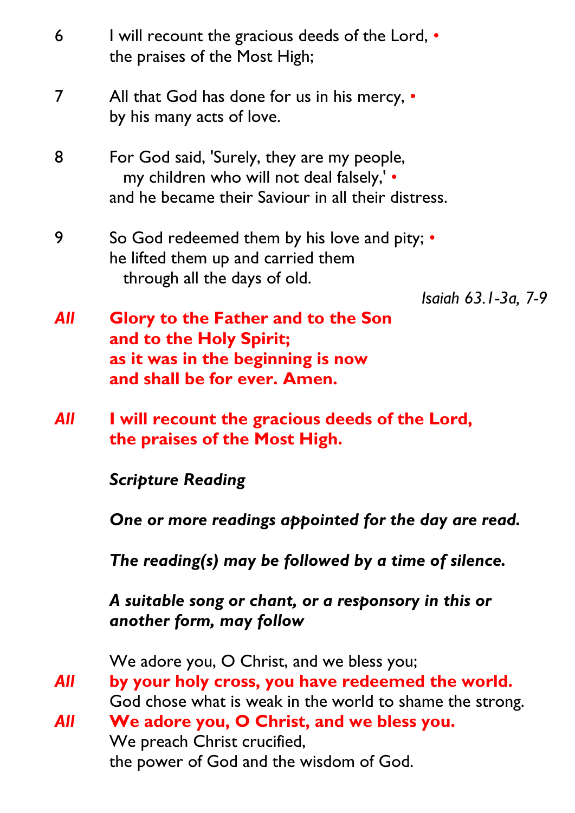6 I will recount the gracious deeds of the Lord, • the praises of the Most High; 7 All that God has done for us in his mercy, • by his many acts of love. 8 For God said, 'Surely, they are my people, my children who will not deal falsely,' • and he became their Saviour in all their distress. 9 So God redeemed them by his love and pity; • he lifted them up and carried them through all the days of old. *Isaiah 63.1-3a, 7-9 All* **Glory to the Father and to the Son and to the Holy Spirit; as it was in the beginning is now and shall be for ever. Amen.** *All* **I will recount the gracious deeds of the Lord, the praises of the Most High.** *Scripture Reading One or more readings appointed for the day are read. The reading(s) may be followed by a time of silence. A suitable song or chant, or a responsory in this or another form, may follow* We adore you, O Christ, and we bless you; *All* **by your holy cross, you have redeemed the world.** God chose what is weak in the world to shame the strong. *All* **We adore you, O Christ, and we bless you.** We preach Christ crucified, the power of God and the wisdom of God.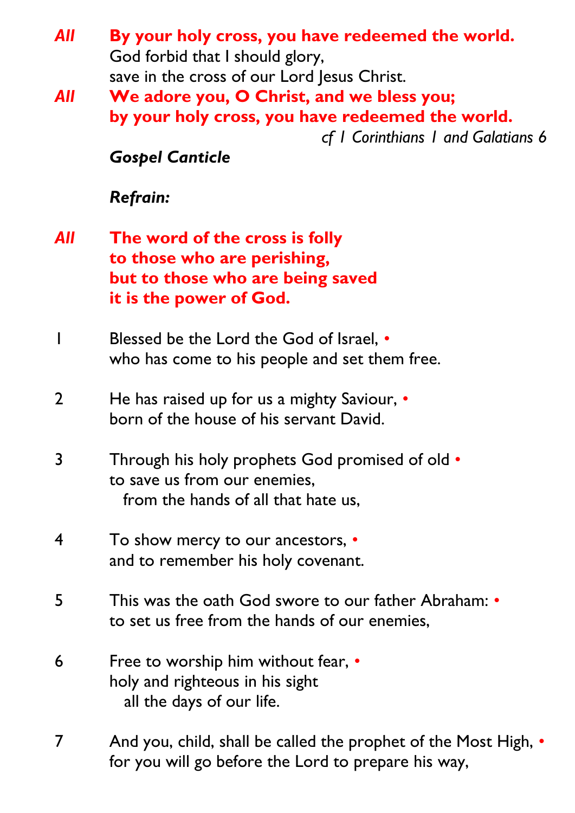- *All* **By your holy cross, you have redeemed the world.** God forbid that I should glory, save in the cross of our Lord Jesus Christ.
- *All* **We adore you, O Christ, and we bless you; by your holy cross, you have redeemed the world.** *cf 1 Corinthians 1 and Galatians 6*

*Gospel Canticle*

*Refrain:*

- *All* **The word of the cross is folly to those who are perishing, but to those who are being saved it is the power of God.**
- 1 Blessed be the Lord the God of Israel, *•* who has come to his people and set them free.
- 2 He has raised up for us a mighty Saviour, *•* born of the house of his servant David.
- 3 Through his holy prophets God promised of old *•* to save us from our enemies, from the hands of all that hate us,
- 4 To show mercy to our ancestors, *•* and to remember his holy covenant.
- 5 This was the oath God swore to our father Abraham: *•* to set us free from the hands of our enemies,
- 6 Free to worship him without fear, *•* holy and righteous in his sight all the days of our life.
- 7 And you, child, shall be called the prophet of the Most High, *•* for you will go before the Lord to prepare his way,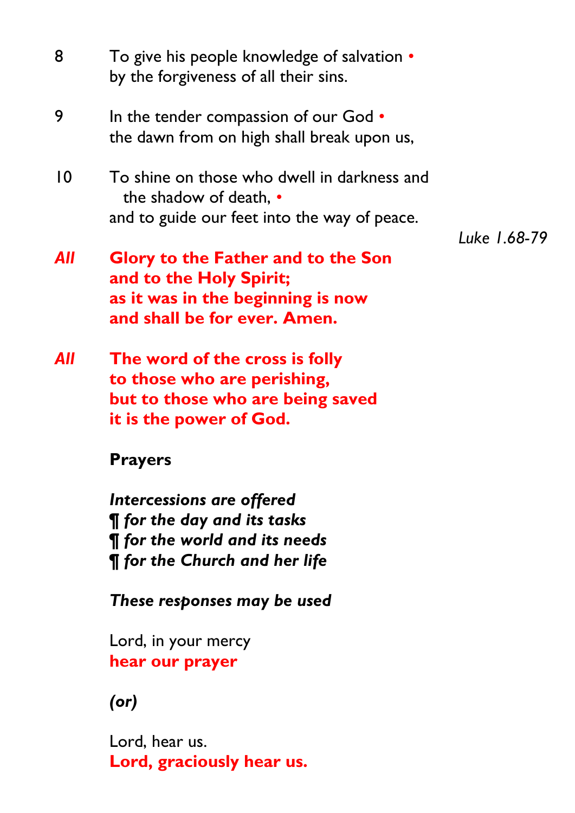| 8          | To give his people knowledge of salvation •<br>by the forgiveness of all their sins.                                                            |              |
|------------|-------------------------------------------------------------------------------------------------------------------------------------------------|--------------|
| 9          | In the tender compassion of our God $\bullet$<br>the dawn from on high shall break upon us,                                                     |              |
| 10         | To shine on those who dwell in darkness and<br>the shadow of death, •<br>and to guide our feet into the way of peace.                           | Luke 1.68-79 |
| All        | Glory to the Father and to the Son<br>and to the Holy Spirit;<br>as it was in the beginning is now<br>and shall be for ever. Amen.              |              |
| <b>All</b> | The word of the cross is folly<br>to those who are perishing,<br>but to those who are being saved<br>it is the power of God.                    |              |
|            | <b>Prayers</b>                                                                                                                                  |              |
|            | Intercessions are offered<br><b>¶</b> for the day and its tasks<br><b>T</b> for the world and its needs<br><b>¶</b> for the Church and her life |              |
|            | These responses may be used                                                                                                                     |              |
|            | Lord, in your mercy<br>hear our prayer                                                                                                          |              |
|            | $($ or $)$                                                                                                                                      |              |
|            | Lord, hear us.<br>Lord, graciously hear us.                                                                                                     |              |